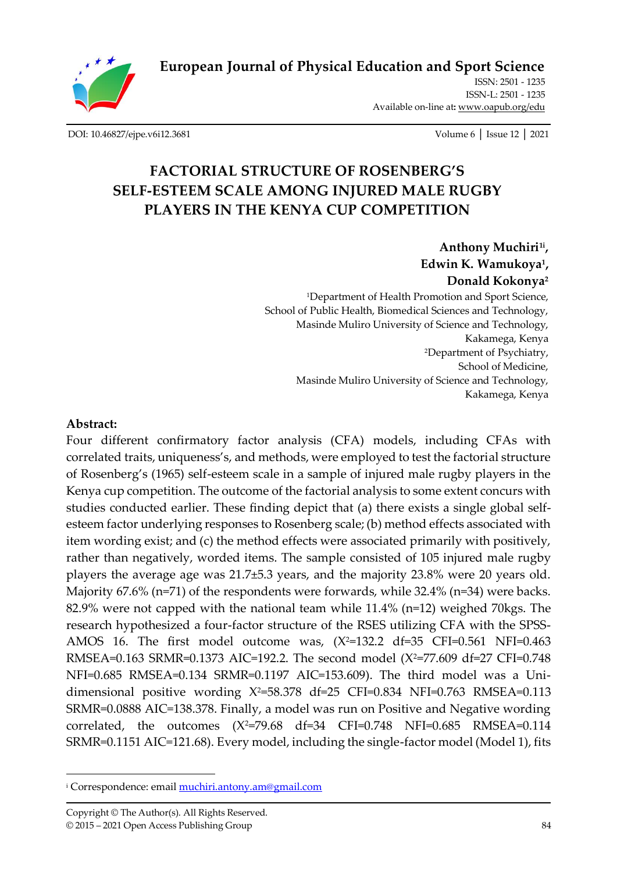

**European [Journal of Physical Education and Sport Science](http://oapub.org/edu/index.php/ejep)**

ISSN: 2501 - 1235 ISSN-L: 2501 - 1235 Available on-line at**:** [www.oapub.org/edu](http://www.oapub.org/edu)

[DOI: 10.46827/ejpe.v6i12.3681](http://dx.doi.org/10.46827/ejpe.v6i12.3681) Volume 6 │ Issue 12 │ 2021

# **FACTORIAL STRUCTURE OF ROSENBERG'S SELF-ESTEEM SCALE AMONG INJURED MALE RUGBY PLAYERS IN THE KENYA CUP COMPETITION**

**Anthony Muchiri1i , Edwin K. Wamukoya<sup>1</sup> , Donald Kokonya<sup>2</sup>** <sup>1</sup>Department of Health Promotion and Sport Science, School of Public Health, Biomedical Sciences and Technology, Masinde Muliro University of Science and Technology, Kakamega, Kenya <sup>2</sup>Department of Psychiatry, School of Medicine, Masinde Muliro University of Science and Technology, Kakamega, Kenya

#### **Abstract:**

Four different confirmatory factor analysis (CFA) models, including CFAs with correlated traits, uniqueness's, and methods, were employed to test the factorial structure of Rosenberg's (1965) self-esteem scale in a sample of injured male rugby players in the Kenya cup competition. The outcome of the factorial analysis to some extent concurs with studies conducted earlier. These finding depict that (a) there exists a single global selfesteem factor underlying responses to Rosenberg scale; (b) method effects associated with item wording exist; and (c) the method effects were associated primarily with positively, rather than negatively, worded items. The sample consisted of 105 injured male rugby players the average age was 21.7±5.3 years, and the majority 23.8% were 20 years old. Majority 67.6% (n=71) of the respondents were forwards, while 32.4% (n=34) were backs. 82.9% were not capped with the national team while 11.4% (n=12) weighed 70kgs. The research hypothesized a four-factor structure of the RSES utilizing CFA with the SPSS-AMOS 16. The first model outcome was,  $(X^2=132.2$  df=35 CFI=0.561 NFI=0.463 RMSEA=0.163 SRMR=0.1373 AIC=192.2. The second model (X<sup>2</sup>=77.609 df=27 CFI=0.748 NFI=0.685 RMSEA=0.134 SRMR=0.1197 AIC=153.609). The third model was a Unidimensional positive wording  $X^2=58.378$  df=25 CFI=0.834 NFI=0.763 RMSEA=0.113 SRMR=0.0888 AIC=138.378. Finally, a model was run on Positive and Negative wording correlated, the outcomes  $(X^2=79.68 \text{ df}=34 \text{ CFI}=0.748 \text{ NFI}=0.685 \text{ RMSEA}=0.114$ SRMR=0.1151 AIC=121.68). Every model, including the single-factor model (Model 1), fits

<sup>i</sup> Correspondence: emai[l muchiri.antony.am@gmail.com](mailto:muchiri.antony.am@gmail.com)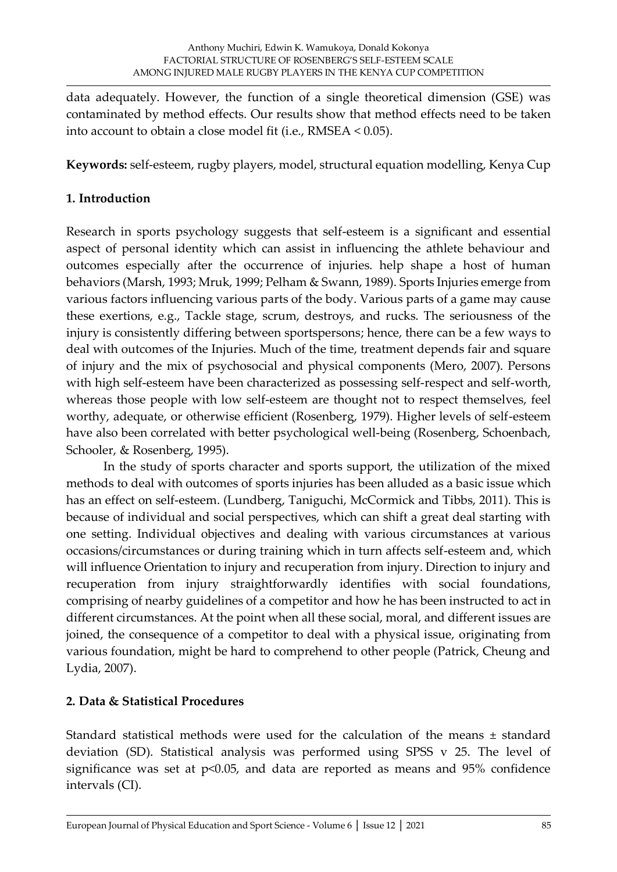data adequately. However, the function of a single theoretical dimension (GSE) was contaminated by method effects. Our results show that method effects need to be taken into account to obtain a close model fit (i.e., RMSEA < 0.05).

**Keywords:** self-esteem, rugby players, model, structural equation modelling, Kenya Cup

### **1. Introduction**

Research in sports psychology suggests that self-esteem is a significant and essential aspect of personal identity which can assist in influencing the athlete behaviour and outcomes especially after the occurrence of injuries. help shape a host of human behaviors (Marsh, 1993; Mruk, 1999; Pelham & Swann, 1989). Sports Injuries emerge from various factors influencing various parts of the body. Various parts of a game may cause these exertions, e.g., Tackle stage, scrum, destroys, and rucks. The seriousness of the injury is consistently differing between sportspersons; hence, there can be a few ways to deal with outcomes of the Injuries. Much of the time, treatment depends fair and square of injury and the mix of psychosocial and physical components (Mero, 2007). Persons with high self-esteem have been characterized as possessing self-respect and self-worth, whereas those people with low self-esteem are thought not to respect themselves, feel worthy, adequate, or otherwise efficient (Rosenberg, 1979). Higher levels of self-esteem have also been correlated with better psychological well-being (Rosenberg, Schoenbach, Schooler, & Rosenberg, 1995).

In the study of sports character and sports support, the utilization of the mixed methods to deal with outcomes of sports injuries has been alluded as a basic issue which has an effect on self-esteem. (Lundberg, Taniguchi, McCormick and Tibbs, 2011). This is because of individual and social perspectives, which can shift a great deal starting with one setting. Individual objectives and dealing with various circumstances at various occasions/circumstances or during training which in turn affects self-esteem and, which will influence Orientation to injury and recuperation from injury. Direction to injury and recuperation from injury straightforwardly identifies with social foundations, comprising of nearby guidelines of a competitor and how he has been instructed to act in different circumstances. At the point when all these social, moral, and different issues are joined, the consequence of a competitor to deal with a physical issue, originating from various foundation, might be hard to comprehend to other people (Patrick, Cheung and Lydia, 2007).

## **2. Data & Statistical Procedures**

Standard statistical methods were used for the calculation of the means ± standard deviation (SD). Statistical analysis was performed using SPSS v 25. The level of significance was set at  $p<0.05$ , and data are reported as means and  $95\%$  confidence intervals (CI).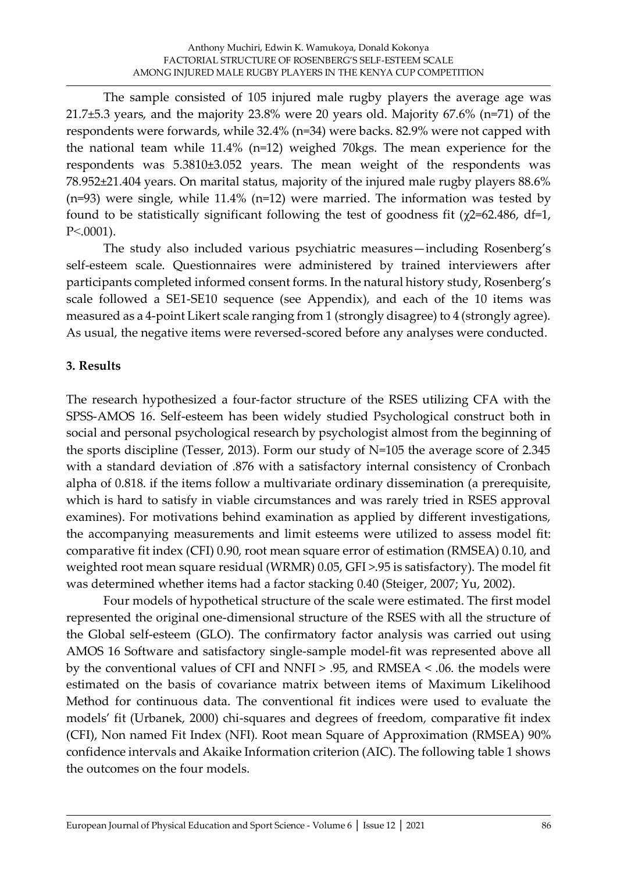The sample consisted of 105 injured male rugby players the average age was 21.7±5.3 years, and the majority 23.8% were 20 years old. Majority 67.6% (n=71) of the respondents were forwards, while 32.4% (n=34) were backs. 82.9% were not capped with the national team while 11.4% (n=12) weighed 70kgs. The mean experience for the respondents was 5.3810±3.052 years. The mean weight of the respondents was 78.952±21.404 years. On marital status, majority of the injured male rugby players 88.6% (n=93) were single, while 11.4% (n=12) were married. The information was tested by found to be statistically significant following the test of goodness fit  $(\chi$ 2=62.486, df=1, P˂.0001).

The study also included various psychiatric measures—including Rosenberg's self-esteem scale. Questionnaires were administered by trained interviewers after participants completed informed consent forms. In the natural history study, Rosenberg's scale followed a SE1-SE10 sequence (see Appendix), and each of the 10 items was measured as a 4-point Likert scale ranging from 1 (strongly disagree) to 4 (strongly agree). As usual, the negative items were reversed-scored before any analyses were conducted.

### **3. Results**

The research hypothesized a four-factor structure of the RSES utilizing CFA with the SPSS-AMOS 16. Self-esteem has been widely studied Psychological construct both in social and personal psychological research by psychologist almost from the beginning of the sports discipline (Tesser, 2013). Form our study of N=105 the average score of 2.345 with a standard deviation of .876 with a satisfactory internal consistency of Cronbach alpha of 0.818. if the items follow a multivariate ordinary dissemination (a prerequisite, which is hard to satisfy in viable circumstances and was rarely tried in RSES approval examines). For motivations behind examination as applied by different investigations, the accompanying measurements and limit esteems were utilized to assess model fit: comparative fit index (CFI) 0.90, root mean square error of estimation (RMSEA) 0.10, and weighted root mean square residual (WRMR) 0.05, GFI >.95 is satisfactory). The model fit was determined whether items had a factor stacking 0.40 (Steiger, 2007; Yu, 2002).

Four models of hypothetical structure of the scale were estimated. The first model represented the original one-dimensional structure of the RSES with all the structure of the Global self-esteem (GLO). The confirmatory factor analysis was carried out using AMOS 16 Software and satisfactory single-sample model-fit was represented above all by the conventional values of CFI and NNFI > .95, and RMSEA < .06. the models were estimated on the basis of covariance matrix between items of Maximum Likelihood Method for continuous data. The conventional fit indices were used to evaluate the models' fit (Urbanek, 2000) chi-squares and degrees of freedom, comparative fit index (CFI), Non named Fit Index (NFI). Root mean Square of Approximation (RMSEA) 90% confidence intervals and Akaike Information criterion (AIC). The following table 1 shows the outcomes on the four models.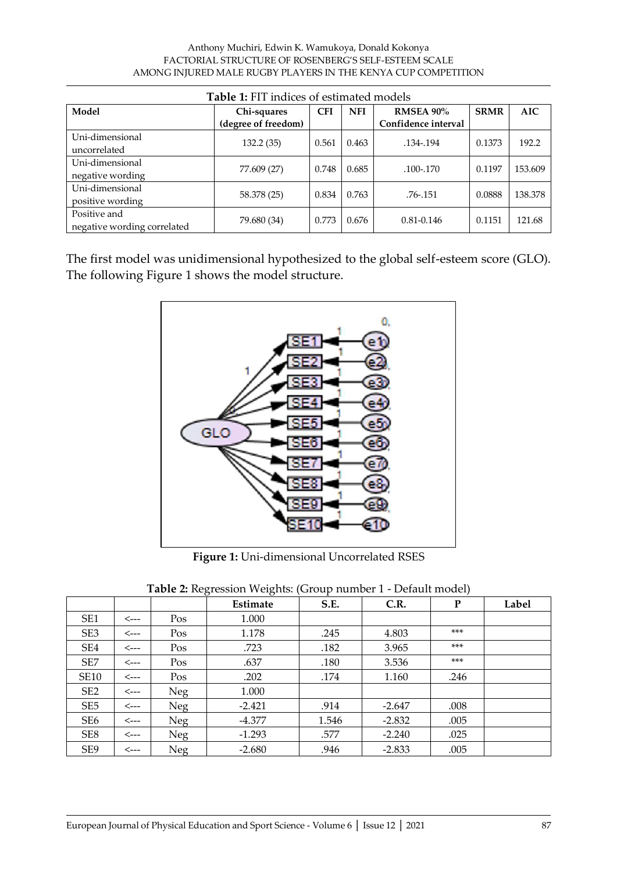#### Anthony Muchiri, Edwin K. Wamukoya, Donald Kokonya FACTORIAL STRUCTURE OF ROSENBERG'S SELF-ESTEEM SCALE AMONG INJURED MALE RUGBY PLAYERS IN THE KENYA CUP COMPETITION

| <b>Table 1:</b> FIT indices of estimated models |                     |            |            |                     |             |            |  |  |  |
|-------------------------------------------------|---------------------|------------|------------|---------------------|-------------|------------|--|--|--|
| Model                                           | Chi-squares         | <b>CFI</b> | <b>NFI</b> | <b>RMSEA 90%</b>    | <b>SRMR</b> | <b>AIC</b> |  |  |  |
|                                                 | (degree of freedom) |            |            | Confidence interval |             |            |  |  |  |
| Uni-dimensional                                 |                     |            |            |                     | 0.1373      | 192.2      |  |  |  |
| uncorrelated                                    | 132.2(35)           | 0.561      | 0.463      | .134-.194           |             |            |  |  |  |
| Uni-dimensional                                 |                     |            | 0.685      | .100-.170           | 0.1197      | 153.609    |  |  |  |
| negative wording                                | 77.609 (27)         | 0.748      |            |                     |             |            |  |  |  |
| Uni-dimensional                                 |                     | 0.834      | 0.763      |                     |             | 138.378    |  |  |  |
| positive wording                                | 58.378 (25)         |            |            | .76-.151            | 0.0888      |            |  |  |  |
| Positive and                                    |                     | 0.773      | 0.676      | 0.81-0.146          | 0.1151      | 121.68     |  |  |  |
| negative wording correlated                     | 79.680 (34)         |            |            |                     |             |            |  |  |  |

The first model was unidimensional hypothesized to the global self-esteem score (GLO). The following Figure 1 shows the model structure.



**Figure 1:** Uni-dimensional Uncorrelated RSES

|                 |                  |            | Estimate | S.E.  | C.R.     | P     | Label |
|-----------------|------------------|------------|----------|-------|----------|-------|-------|
| SE1             | $\leftarrow$ --  | Pos        | 1.000    |       |          |       |       |
| SE <sub>3</sub> | <---             | Pos        | 1.178    | .245  | 4.803    | $***$ |       |
| SE4             | $\leftarrow$ --  | Pos        | .723     | .182  | 3.965    | $***$ |       |
| SE7             | <---             | Pos        | .637     | .180  | 3.536    | $***$ |       |
| <b>SE10</b>     | <---             | Pos        | .202     | .174  | 1.160    | .246  |       |
| SE <sub>2</sub> | <---             | <b>Neg</b> | 1.000    |       |          |       |       |
| SE5             | <---             | <b>Neg</b> | $-2.421$ | .914  | $-2.647$ | .008  |       |
| SE <sub>6</sub> | $\leftarrow$ --- | <b>Neg</b> | $-4.377$ | 1.546 | $-2.832$ | .005  |       |
| SE8             | $\leftarrow$ --  | <b>Neg</b> | $-1.293$ | .577  | $-2.240$ | .025  |       |
| SE9             | <---             | <b>Neg</b> | $-2.680$ | .946  | $-2.833$ | .005  |       |

| Table 2: Regression Weights: (Group number 1 - Default model) |  |  |
|---------------------------------------------------------------|--|--|
|                                                               |  |  |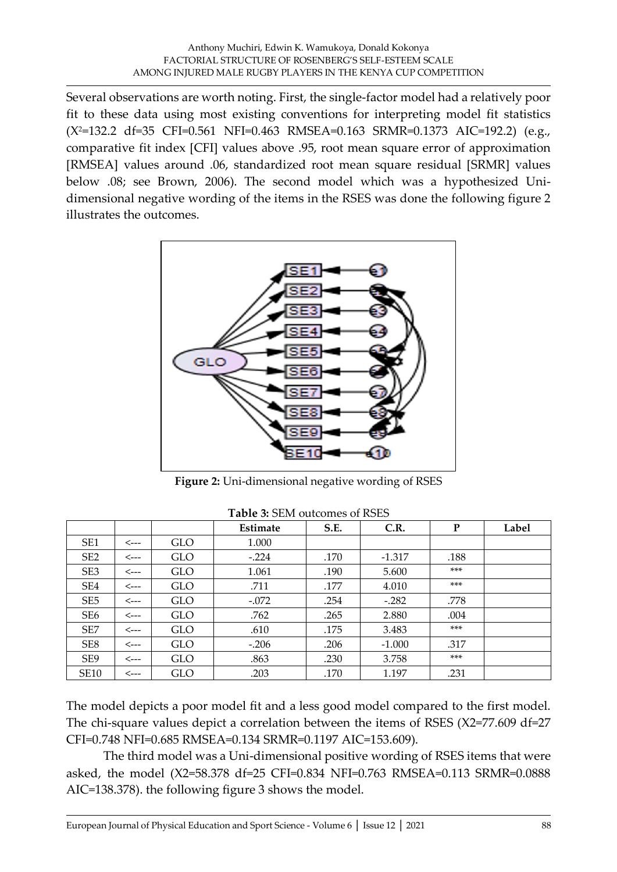Several observations are worth noting. First, the single-factor model had a relatively poor fit to these data using most existing conventions for interpreting model fit statistics  $(X^2=132.2 \text{ df}=35 \text{ CFI}=0.561 \text{ NF}=0.463 \text{ RMSE} =0.163 \text{ SRMR}=0.1373 \text{ AIC}=192.2)$  (e.g., comparative fit index [CFI] values above .95, root mean square error of approximation [RMSEA] values around .06, standardized root mean square residual [SRMR] values below .08; see Brown, 2006). The second model which was a hypothesized Unidimensional negative wording of the items in the RSES was done the following figure 2 illustrates the outcomes.



**Figure 2:** Uni-dimensional negative wording of RSES

|                 |                 |            | Estimate | S.E. | C.R.     | ${\bf P}$ | Label |
|-----------------|-----------------|------------|----------|------|----------|-----------|-------|
| SE <sub>1</sub> | <---            | <b>GLO</b> | 1.000    |      |          |           |       |
| SE <sub>2</sub> | <---            | <b>GLO</b> | $-.224$  | .170 | $-1.317$ | .188      |       |
| SE <sub>3</sub> | <---            | <b>GLO</b> | 1.061    | .190 | 5.600    | $***$     |       |
| SE <sub>4</sub> | $\leftarrow$ -- | <b>GLO</b> | .711     | .177 | 4.010    | $***$     |       |
| SE <sub>5</sub> | $\leftarrow$ -- | <b>GLO</b> | $-.072$  | .254 | $-.282$  | .778      |       |
| SE <sub>6</sub> | <---            | <b>GLO</b> | .762     | .265 | 2.880    | .004      |       |
| SE <sub>7</sub> | <---            | <b>GLO</b> | .610     | .175 | 3.483    | $***$     |       |
| SE <sub>8</sub> | <---            | <b>GLO</b> | $-.206$  | .206 | $-1.000$ | .317      |       |
| SE <sub>9</sub> | <---            | <b>GLO</b> | .863     | .230 | 3.758    | $***$     |       |
| <b>SE10</b>     | <---            | GLO        | .203     | .170 | 1.197    | .231      |       |

**Table 3:** SEM outcomes of RSES

The model depicts a poor model fit and a less good model compared to the first model. The chi-square values depict a correlation between the items of RSES (X2=77.609 df=27 CFI=0.748 NFI=0.685 RMSEA=0.134 SRMR=0.1197 AIC=153.609).

The third model was a Uni-dimensional positive wording of RSES items that were asked, the model (X2=58.378 df=25 CFI=0.834 NFI=0.763 RMSEA=0.113 SRMR=0.0888 AIC=138.378). the following figure 3 shows the model.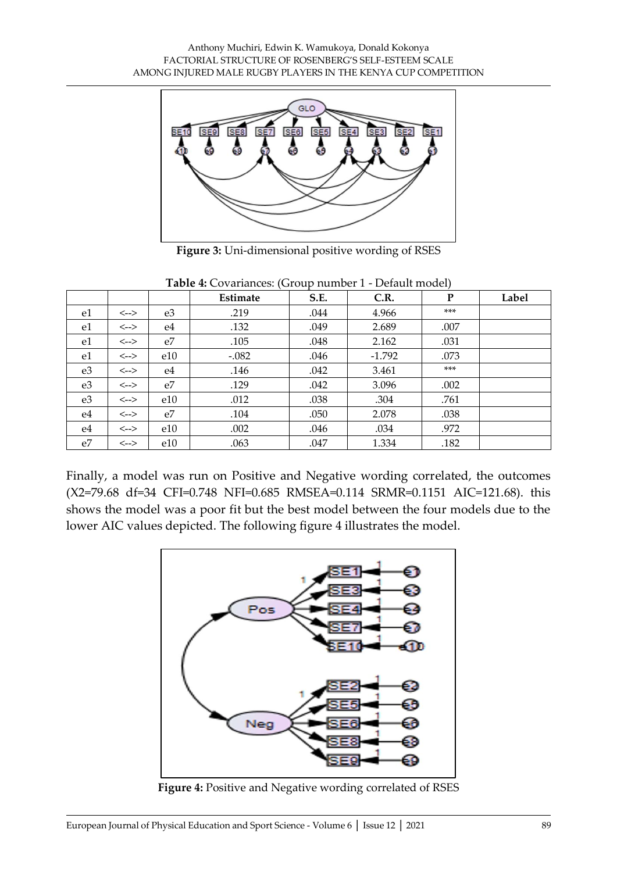

**Figure 3:** Uni-dimensional positive wording of RSES

|                |                                                     |     | Estimate | S.E. | C.R.     | P     | Label |
|----------------|-----------------------------------------------------|-----|----------|------|----------|-------|-------|
| e1             | $\left\langle \scriptstyle{\text{--}}\right\rangle$ | e3  | .219     | .044 | 4.966    | $***$ |       |
| e1             | $\left\langle \scriptstyle{\text{--}}\right\rangle$ | e4  | .132     | .049 | 2.689    | .007  |       |
| e1             | $\left\langle \scriptstyle{\text{--}}\right\rangle$ | e7  | .105     | .048 | 2.162    | .031  |       |
| e1             | <-->                                                | e10 | $-.082$  | .046 | $-1.792$ | .073  |       |
| e <sub>3</sub> | <-->                                                | e4  | .146     | .042 | 3.461    | $***$ |       |
| e <sub>3</sub> | $\left\langle \scriptstyle{\text{--}}\right\rangle$ | e7  | .129     | .042 | 3.096    | .002  |       |
| e <sub>3</sub> | $\leftarrow$                                        | e10 | .012     | .038 | .304     | .761  |       |
| e4             | $\leftarrow$                                        | e7  | .104     | .050 | 2.078    | .038  |       |
| e4             | $\left\langle \scriptstyle{--} \right\rangle$       | e10 | .002     | .046 | .034     | .972  |       |
| e7             | <-->                                                | e10 | .063     | .047 | 1.334    | .182  |       |

**Table 4:** Covariances: (Group number 1 - Default model)

Finally, a model was run on Positive and Negative wording correlated, the outcomes (X2=79.68 df=34 CFI=0.748 NFI=0.685 RMSEA=0.114 SRMR=0.1151 AIC=121.68). this shows the model was a poor fit but the best model between the four models due to the lower AIC values depicted. The following figure 4 illustrates the model.



**Figure 4:** Positive and Negative wording correlated of RSES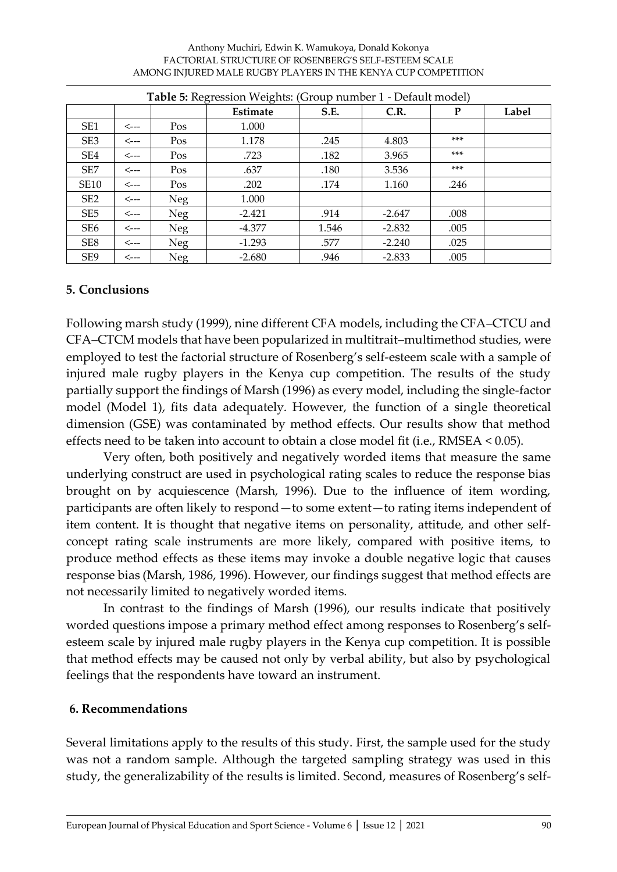#### Anthony Muchiri, Edwin K. Wamukoya, Donald Kokonya FACTORIAL STRUCTURE OF ROSENBERG'S SELF-ESTEEM SCALE AMONG INJURED MALE RUGBY PLAYERS IN THE KENYA CUP COMPETITION

| <b>Table 5:</b> Regression Weights: (Group number 1 - Default model) |      |            |          |       |          |       |       |  |
|----------------------------------------------------------------------|------|------------|----------|-------|----------|-------|-------|--|
|                                                                      |      |            | Estimate | S.E.  | C.R.     | P     | Label |  |
| SE <sub>1</sub>                                                      | <--- | Pos        | 1.000    |       |          |       |       |  |
| SE <sub>3</sub>                                                      | <--- | Pos        | 1.178    | .245  | 4.803    | $***$ |       |  |
| SE4                                                                  | <--- | Pos        | .723     | .182  | 3.965    | $***$ |       |  |
| SE <sub>7</sub>                                                      | <--- | Pos        | .637     | .180  | 3.536    | $***$ |       |  |
| <b>SE10</b>                                                          | <--- | Pos        | .202     | .174  | 1.160    | .246  |       |  |
| SE <sub>2</sub>                                                      | <--- | <b>Neg</b> | 1.000    |       |          |       |       |  |
| SE <sub>5</sub>                                                      | <--- | <b>Neg</b> | $-2.421$ | .914  | $-2.647$ | .008  |       |  |
| SE <sub>6</sub>                                                      | <--- | Neg        | $-4.377$ | 1.546 | $-2.832$ | .005  |       |  |
| SE8                                                                  | <--- | <b>Neg</b> | $-1.293$ | .577  | $-2.240$ | .025  |       |  |
| SE <sub>9</sub>                                                      | <--- | Neg        | $-2.680$ | .946  | $-2.833$ | .005  |       |  |

#### **5. Conclusions**

Following marsh study (1999), nine different CFA models, including the CFA–CTCU and CFA–CTCM models that have been popularized in multitrait–multimethod studies, were employed to test the factorial structure of Rosenberg's self-esteem scale with a sample of injured male rugby players in the Kenya cup competition. The results of the study partially support the findings of Marsh (1996) as every model, including the single-factor model (Model 1), fits data adequately. However, the function of a single theoretical dimension (GSE) was contaminated by method effects. Our results show that method effects need to be taken into account to obtain a close model fit (i.e., RMSEA < 0.05).

Very often, both positively and negatively worded items that measure the same underlying construct are used in psychological rating scales to reduce the response bias brought on by acquiescence (Marsh, 1996). Due to the influence of item wording, participants are often likely to respond—to some extent—to rating items independent of item content. It is thought that negative items on personality, attitude, and other selfconcept rating scale instruments are more likely, compared with positive items, to produce method effects as these items may invoke a double negative logic that causes response bias (Marsh, 1986, 1996). However, our findings suggest that method effects are not necessarily limited to negatively worded items.

In contrast to the findings of Marsh (1996), our results indicate that positively worded questions impose a primary method effect among responses to Rosenberg's selfesteem scale by injured male rugby players in the Kenya cup competition. It is possible that method effects may be caused not only by verbal ability, but also by psychological feelings that the respondents have toward an instrument.

#### **6. Recommendations**

Several limitations apply to the results of this study. First, the sample used for the study was not a random sample. Although the targeted sampling strategy was used in this study, the generalizability of the results is limited. Second, measures of Rosenberg's self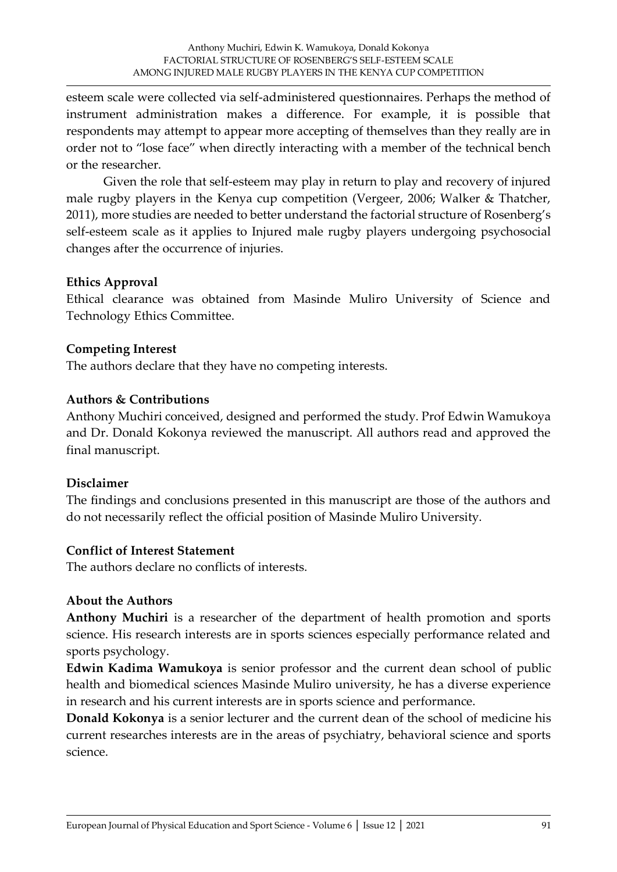esteem scale were collected via self-administered questionnaires. Perhaps the method of instrument administration makes a difference. For example, it is possible that respondents may attempt to appear more accepting of themselves than they really are in order not to "lose face" when directly interacting with a member of the technical bench or the researcher.

Given the role that self-esteem may play in return to play and recovery of injured male rugby players in the Kenya cup competition (Vergeer, 2006; Walker & Thatcher, 2011), more studies are needed to better understand the factorial structure of Rosenberg's self-esteem scale as it applies to Injured male rugby players undergoing psychosocial changes after the occurrence of injuries.

#### **Ethics Approval**

Ethical clearance was obtained from Masinde Muliro University of Science and Technology Ethics Committee.

#### **Competing Interest**

The authors declare that they have no competing interests.

#### **Authors & Contributions**

Anthony Muchiri conceived, designed and performed the study. Prof Edwin Wamukoya and Dr. Donald Kokonya reviewed the manuscript. All authors read and approved the final manuscript.

### **Disclaimer**

The findings and conclusions presented in this manuscript are those of the authors and do not necessarily reflect the official position of Masinde Muliro University.

### **Conflict of Interest Statement**

The authors declare no conflicts of interests.

### **About the Authors**

**Anthony Muchiri** is a researcher of the department of health promotion and sports science. His research interests are in sports sciences especially performance related and sports psychology.

**Edwin Kadima Wamukoya** is senior professor and the current dean school of public health and biomedical sciences Masinde Muliro university, he has a diverse experience in research and his current interests are in sports science and performance.

**Donald Kokonya** is a senior lecturer and the current dean of the school of medicine his current researches interests are in the areas of psychiatry, behavioral science and sports science.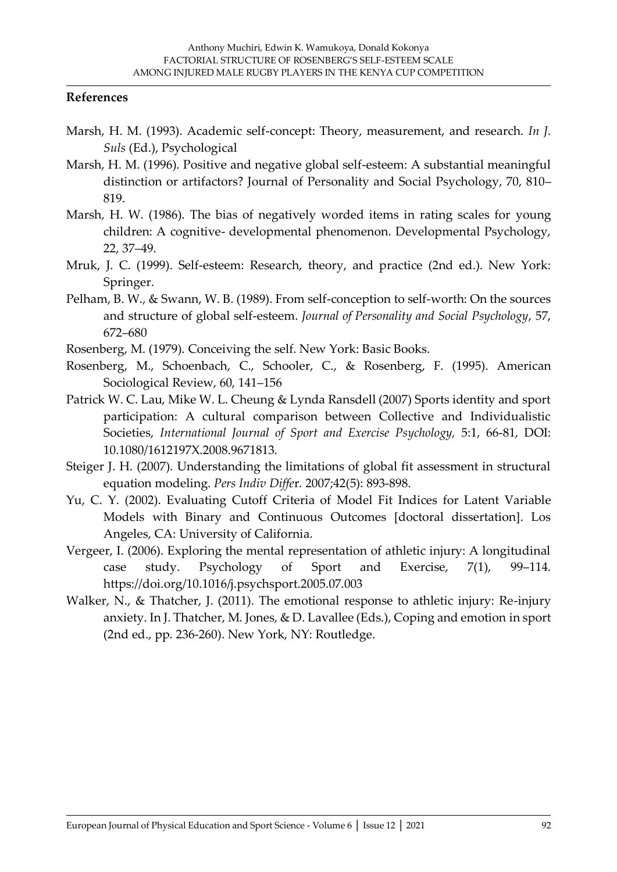#### **References**

- Marsh, H. M. (1993). Academic self-concept: Theory, measurement, and research. *In J. Suls* (Ed.), Psychological
- Marsh, H. M. (1996). Positive and negative global self-esteem: A substantial meaningful distinction or artifactors? Journal of Personality and Social Psychology, 70, 810– 819.
- Marsh, H. W. (1986). The bias of negatively worded items in rating scales for young children: A cognitive- developmental phenomenon. Developmental Psychology, 22, 37–49.
- Mruk, J. C. (1999). Self-esteem: Research, theory, and practice (2nd ed.). New York: Springer.
- Pelham, B. W., & Swann, W. B. (1989). From self-conception to self-worth: On the sources and structure of global self-esteem. *Journal of Personality and Social Psychology*, 57, 672–680
- Rosenberg, M. (1979). Conceiving the self. New York: Basic Books.
- Rosenberg, M., Schoenbach, C., Schooler, C., & Rosenberg, F. (1995). American Sociological Review, 60, 141–156
- Patrick W. C. Lau, Mike W. L. Cheung & Lynda Ransdell (2007) Sports identity and sport participation: A cultural comparison between Collective and Individualistic Societies, *International Journal of Sport and Exercise Psychology,* 5:1, 66-81, DOI: 10.1080/1612197X.2008.9671813.
- Steiger J. H. (2007). Understanding the limitations of global fit assessment in structural equation modeling. *Pers Indiv Diffe*r. 2007;42(5): 893-898.
- Yu, C. Y. (2002). Evaluating Cutoff Criteria of Model Fit Indices for Latent Variable Models with Binary and Continuous Outcomes [doctoral dissertation]. Los Angeles, CA: University of California.
- Vergeer, I. (2006). Exploring the mental representation of athletic injury: A longitudinal case study. Psychology of Sport and Exercise, 7(1), 99–114. https://doi.org/10.1016/j.psychsport.2005.07.003
- Walker, N., & Thatcher, J. (2011). The emotional response to athletic injury: Re-injury anxiety. In J. Thatcher, M. Jones, & D. Lavallee (Eds.), Coping and emotion in sport (2nd ed., pp. 236-260). New York, NY: Routledge.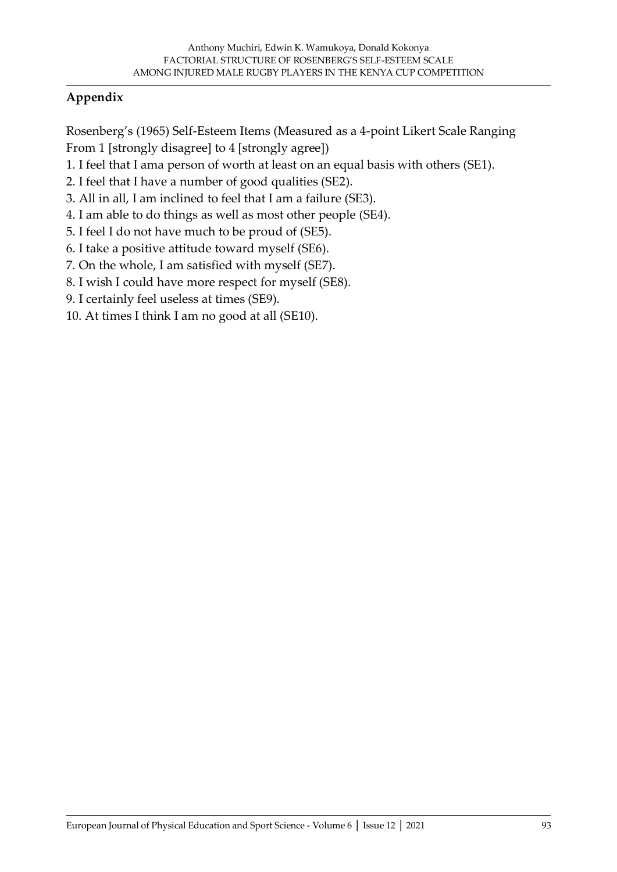## **Appendix**

Rosenberg's (1965) Self-Esteem Items (Measured as a 4-point Likert Scale Ranging From 1 [strongly disagree] to 4 [strongly agree])

- 1. I feel that I ama person of worth at least on an equal basis with others (SE1).
- 2. I feel that I have a number of good qualities (SE2).
- 3. All in all, I am inclined to feel that I am a failure (SE3).
- 4. I am able to do things as well as most other people (SE4).
- 5. I feel I do not have much to be proud of (SE5).
- 6. I take a positive attitude toward myself (SE6).
- 7. On the whole, I am satisfied with myself (SE7).
- 8. I wish I could have more respect for myself (SE8).
- 9. I certainly feel useless at times (SE9).
- 10. At times I think I am no good at all (SE10).